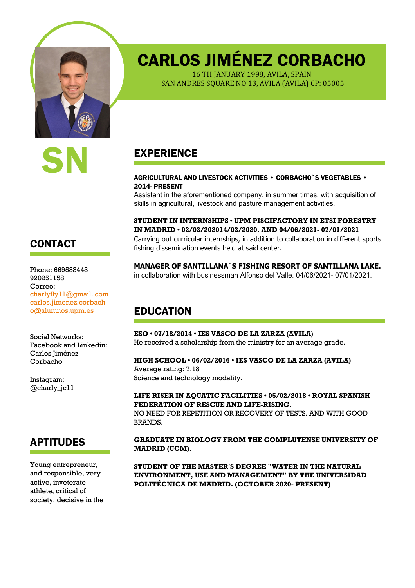

# CARLOS JIMÉNEZ CORBACHO

16 TH JANUARY 1998, AVILA, SPAIN SAN ANDRES SQUARE NO 13, AVILA (AVILA) CP: 05005

## EXPERIENCE

#### AGRICULTURAL AND LIVESTOCK ACTIVITIES • CORBACHO`S VEGETABLES • 2014- PRESENT

Assistant in the aforementioned company, in summer times, with acquisition of skills in agricultural, livestock and pasture management activities.

**STUDENT IN INTERNSHIPS • UPM PISCIFACTORY IN ETSI FORESTRY IN MADRID • 02/03/202014/03/2020. AND 04/06/2021- 07/01/2021** Carrying out curricular internships, in addition to collaboration in different sports fishing dissemination events held at said center.

**MANAGER OF SANTILLANA¨S FISHING RESORT OF SANTILLANA LAKE.** in collaboration with businessman Alfonso del Valle. 04/06/2021- 07/01/2021.

# EDUCATION

**ESO • 07/18/2014 • IES VASCO DE LA ZARZA (AVILA**) He received a scholarship from the ministry for an average grade.

#### **HIGH SCHOOL • 06/02/2016 • IES VASCO DE LA ZARZA (AVILA)**

Average rating: 7.18 Science and technology modality.

#### **LIFE RISER IN AQUATIC FACILITIES • 05/02/2018 • ROYAL SPANISH FEDERATION OF RESCUE AND LIFE-RISING.**

NO NEED FOR REPETITION OR RECOVERY OF TESTS. AND WITH GOOD BRANDS.

**GRADUATE IN BIOLOGY FROM THE COMPLUTENSE UNIVERSITY OF MADRID (UCM).**

**STUDENT OF THE MASTER'S DEGREE "WATER IN THE NATURAL ENVIRONMENT, USE AND MANAGEMENT" BY THE UNIVERSIDAD POLITÉCNICA DE MADRID. (OCTOBER 2020- PRESENT)**

## CONTACT

Phone: 669538443 920251158 Correo: charlyfly11@gmail. com carlos.jimenez.corbach o@alumnos.upm.es

Social Networks: Facebook and Linkedin: Carlos Jiménez Corbacho

Instagram: @charly\_jc11

#### APTITUDES

Young entrepreneur, and responsible, very active, inveterate athlete, critical of society, decisive in the